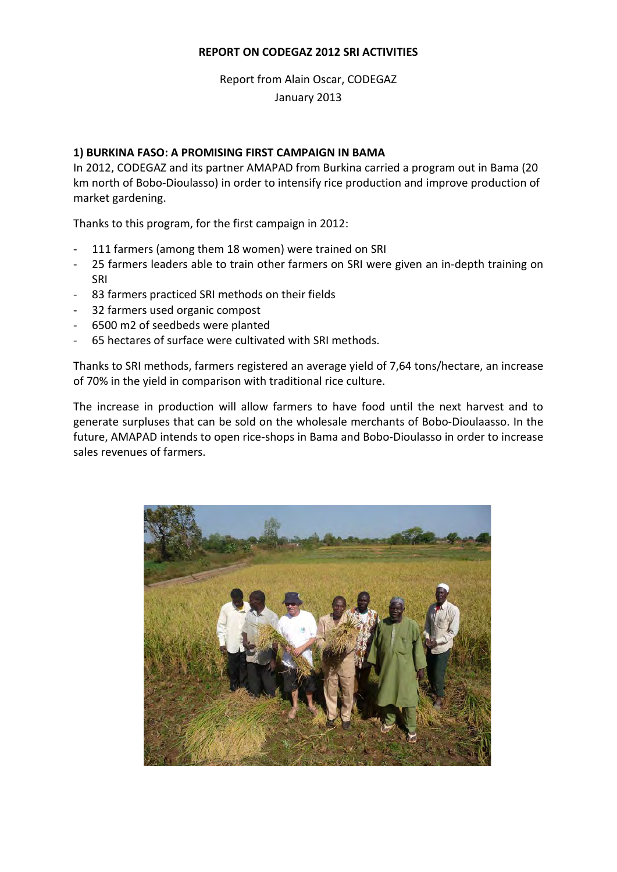## **REPORT ON CODEGAZ 2012 SRI ACTIVITIES**

# Report from Alain Oscar, CODEGAZ January 2013

#### **1) BURKINA FASO: A PROMISING FIRST CAMPAIGN IN BAMA**

In 2012, CODEGAZ and its partner AMAPAD from Burkina carried a program out in Bama (20 km north of Bobo-Dioulasso) in order to intensify rice production and improve production of market gardening.

Thanks to this program, for the first campaign in 2012:

- 111 farmers (among them 18 women) were trained on SRI
- 25 farmers leaders able to train other farmers on SRI were given an in-depth training on SRI
- 83 farmers practiced SRI methods on their fields
- 32 farmers used organic compost
- 6500 m2 of seedbeds were planted
- 65 hectares of surface were cultivated with SRI methods.

Thanks to SRI methods, farmers registered an average yield of 7,64 tons/hectare, an increase of 70% in the yield in comparison with traditional rice culture.

The increase in production will allow farmers to have food until the next harvest and to generate surpluses that can be sold on the wholesale merchants of Bobo-Dioulaasso. In the future, AMAPAD intends to open rice-shops in Bama and Bobo-Dioulasso in order to increase sales revenues of farmers.

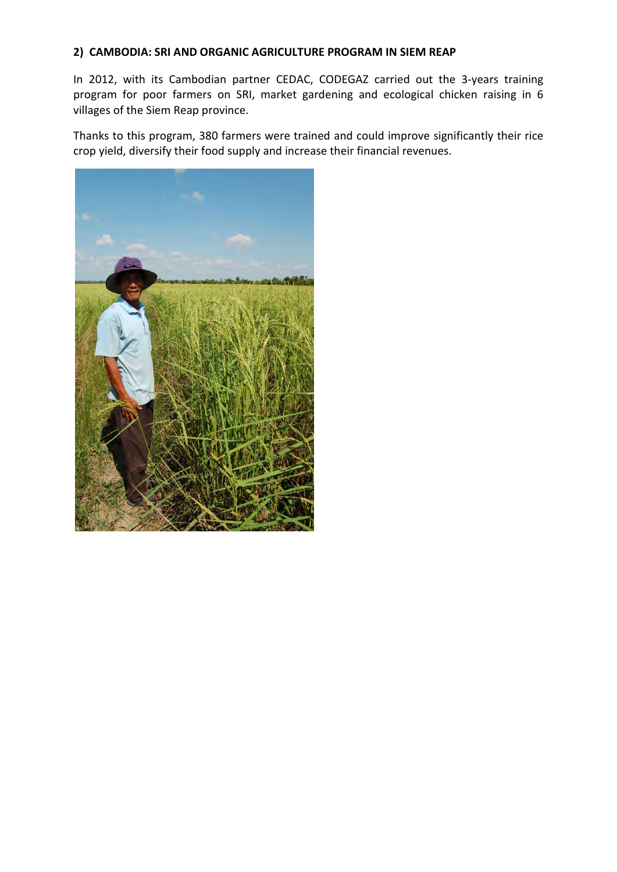## **2) CAMBODIA: SRI AND ORGANIC AGRICULTURE PROGRAM IN SIEM REAP**

In 2012, with its Cambodian partner CEDAC, CODEGAZ carried out the 3-years training program for poor farmers on SRI, market gardening and ecological chicken raising in 6 villages of the Siem Reap province.

Thanks to this program, 380 farmers were trained and could improve significantly their rice crop yield, diversify their food supply and increase their financial revenues.